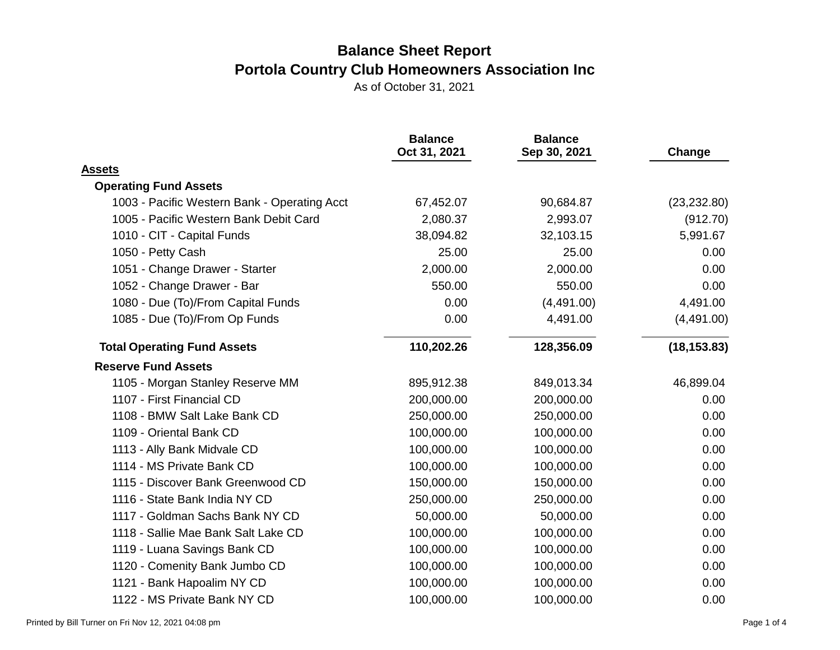|                                              | <b>Balance</b><br>Oct 31, 2021 | <b>Balance</b><br>Sep 30, 2021 | Change       |
|----------------------------------------------|--------------------------------|--------------------------------|--------------|
| <b>Assets</b>                                |                                |                                |              |
| <b>Operating Fund Assets</b>                 |                                |                                |              |
| 1003 - Pacific Western Bank - Operating Acct | 67,452.07                      | 90,684.87                      | (23, 232.80) |
| 1005 - Pacific Western Bank Debit Card       | 2,080.37                       | 2,993.07                       | (912.70)     |
| 1010 - CIT - Capital Funds                   | 38,094.82                      | 32,103.15                      | 5,991.67     |
| 1050 - Petty Cash                            | 25.00                          | 25.00                          | 0.00         |
| 1051 - Change Drawer - Starter               | 2,000.00                       | 2,000.00                       | 0.00         |
| 1052 - Change Drawer - Bar                   | 550.00                         | 550.00                         | 0.00         |
| 1080 - Due (To)/From Capital Funds           | 0.00                           | (4,491.00)                     | 4,491.00     |
| 1085 - Due (To)/From Op Funds                | 0.00                           | 4,491.00                       | (4,491.00)   |
| <b>Total Operating Fund Assets</b>           | 110,202.26                     | 128,356.09                     | (18, 153.83) |
| <b>Reserve Fund Assets</b>                   |                                |                                |              |
| 1105 - Morgan Stanley Reserve MM             | 895,912.38                     | 849,013.34                     | 46,899.04    |
| 1107 - First Financial CD                    | 200,000.00                     | 200,000.00                     | 0.00         |
| 1108 - BMW Salt Lake Bank CD                 | 250,000.00                     | 250,000.00                     | 0.00         |
| 1109 - Oriental Bank CD                      | 100,000.00                     | 100,000.00                     | 0.00         |
| 1113 - Ally Bank Midvale CD                  | 100,000.00                     | 100,000.00                     | 0.00         |
| 1114 - MS Private Bank CD                    | 100,000.00                     | 100,000.00                     | 0.00         |
| 1115 - Discover Bank Greenwood CD            | 150,000.00                     | 150,000.00                     | 0.00         |
| 1116 - State Bank India NY CD                | 250,000.00                     | 250,000.00                     | 0.00         |
| 1117 - Goldman Sachs Bank NY CD              | 50,000.00                      | 50,000.00                      | 0.00         |
| 1118 - Sallie Mae Bank Salt Lake CD          | 100,000.00                     | 100,000.00                     | 0.00         |
| 1119 - Luana Savings Bank CD                 | 100,000.00                     | 100,000.00                     | 0.00         |
| 1120 - Comenity Bank Jumbo CD                | 100,000.00                     | 100,000.00                     | 0.00         |
| 1121 - Bank Hapoalim NY CD                   | 100,000.00                     | 100,000.00                     | 0.00         |
| 1122 - MS Private Bank NY CD                 | 100,000.00                     | 100,000.00                     | 0.00         |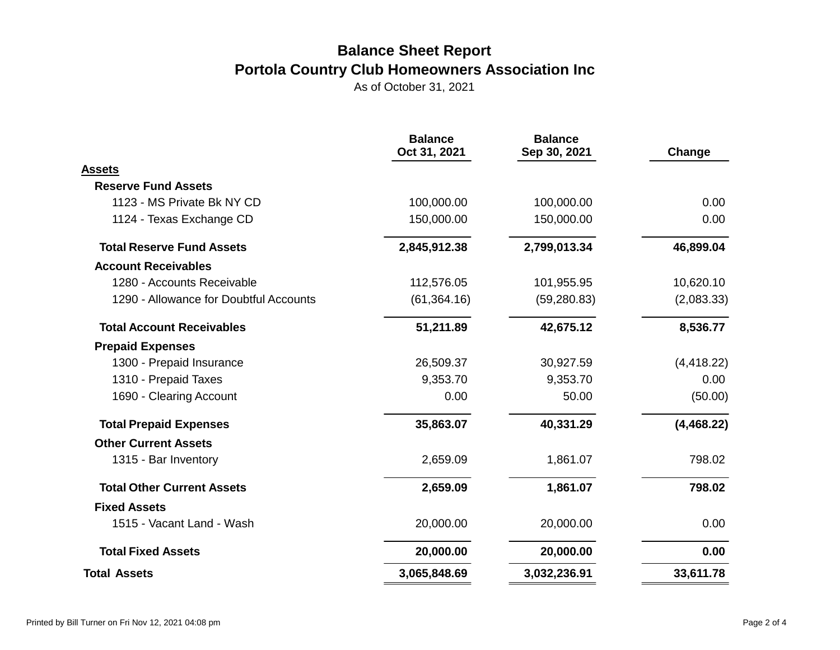|                                        | <b>Balance</b><br>Oct 31, 2021 | <b>Balance</b><br>Sep 30, 2021 | Change      |
|----------------------------------------|--------------------------------|--------------------------------|-------------|
| Assets                                 |                                |                                |             |
| <b>Reserve Fund Assets</b>             |                                |                                |             |
| 1123 - MS Private Bk NY CD             | 100,000.00                     | 100,000.00                     | 0.00        |
| 1124 - Texas Exchange CD               | 150,000.00                     | 150,000.00                     | 0.00        |
| <b>Total Reserve Fund Assets</b>       | 2,845,912.38                   | 2,799,013.34                   | 46,899.04   |
| <b>Account Receivables</b>             |                                |                                |             |
| 1280 - Accounts Receivable             | 112,576.05                     | 101,955.95                     | 10,620.10   |
| 1290 - Allowance for Doubtful Accounts | (61, 364.16)                   | (59, 280.83)                   | (2,083.33)  |
| <b>Total Account Receivables</b>       | 51,211.89                      | 42,675.12                      | 8,536.77    |
| <b>Prepaid Expenses</b>                |                                |                                |             |
| 1300 - Prepaid Insurance               | 26,509.37                      | 30,927.59                      | (4, 418.22) |
| 1310 - Prepaid Taxes                   | 9,353.70                       | 9,353.70                       | 0.00        |
| 1690 - Clearing Account                | 0.00                           | 50.00                          | (50.00)     |
| <b>Total Prepaid Expenses</b>          | 35,863.07                      | 40,331.29                      | (4,468.22)  |
| <b>Other Current Assets</b>            |                                |                                |             |
| 1315 - Bar Inventory                   | 2,659.09                       | 1,861.07                       | 798.02      |
| <b>Total Other Current Assets</b>      | 2,659.09                       | 1,861.07                       | 798.02      |
| <b>Fixed Assets</b>                    |                                |                                |             |
| 1515 - Vacant Land - Wash              | 20,000.00                      | 20,000.00                      | 0.00        |
| <b>Total Fixed Assets</b>              | 20,000.00                      | 20,000.00                      | 0.00        |
| <b>Total Assets</b>                    | 3,065,848.69                   | 3,032,236.91                   | 33,611.78   |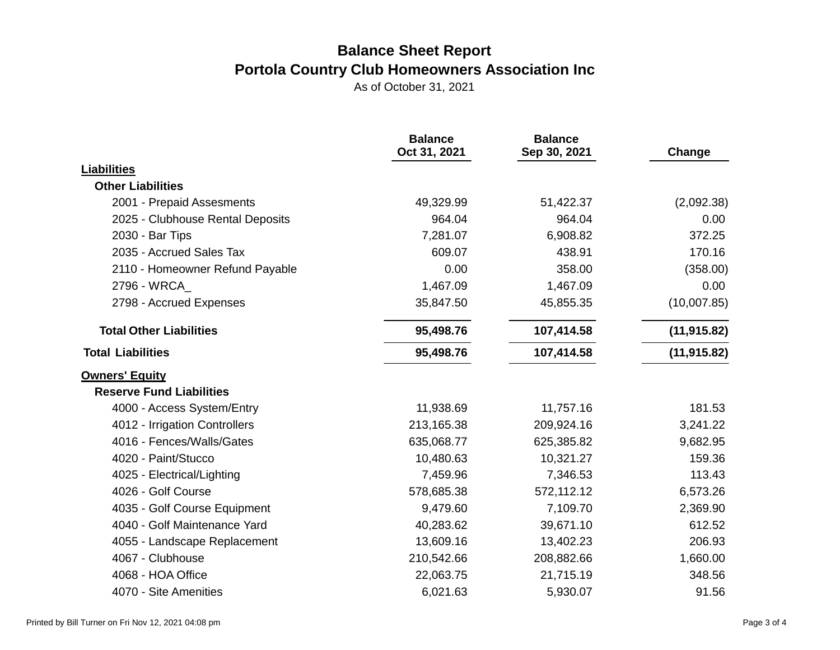|                                  | <b>Balance</b><br>Oct 31, 2021 | <b>Balance</b><br>Sep 30, 2021 | Change       |
|----------------------------------|--------------------------------|--------------------------------|--------------|
| <b>Liabilities</b>               |                                |                                |              |
| <b>Other Liabilities</b>         |                                |                                |              |
| 2001 - Prepaid Assesments        | 49,329.99                      | 51,422.37                      | (2,092.38)   |
| 2025 - Clubhouse Rental Deposits | 964.04                         | 964.04                         | 0.00         |
| 2030 - Bar Tips                  | 7,281.07                       | 6,908.82                       | 372.25       |
| 2035 - Accrued Sales Tax         | 609.07                         | 438.91                         | 170.16       |
| 2110 - Homeowner Refund Payable  | 0.00                           | 358.00                         | (358.00)     |
| 2796 - WRCA                      | 1,467.09                       | 1,467.09                       | 0.00         |
| 2798 - Accrued Expenses          | 35,847.50                      | 45,855.35                      | (10,007.85)  |
| <b>Total Other Liabilities</b>   | 95,498.76                      | 107,414.58                     | (11, 915.82) |
| <b>Total Liabilities</b>         | 95,498.76                      | 107,414.58                     | (11, 915.82) |
| <b>Owners' Equity</b>            |                                |                                |              |
| <b>Reserve Fund Liabilities</b>  |                                |                                |              |
| 4000 - Access System/Entry       | 11,938.69                      | 11,757.16                      | 181.53       |
| 4012 - Irrigation Controllers    | 213,165.38                     | 209,924.16                     | 3,241.22     |
| 4016 - Fences/Walls/Gates        | 635,068.77                     | 625,385.82                     | 9,682.95     |
| 4020 - Paint/Stucco              | 10,480.63                      | 10,321.27                      | 159.36       |
| 4025 - Electrical/Lighting       | 7,459.96                       | 7,346.53                       | 113.43       |
| 4026 - Golf Course               | 578,685.38                     | 572,112.12                     | 6,573.26     |
| 4035 - Golf Course Equipment     | 9,479.60                       | 7,109.70                       | 2,369.90     |
| 4040 - Golf Maintenance Yard     | 40,283.62                      | 39,671.10                      | 612.52       |
| 4055 - Landscape Replacement     | 13,609.16                      | 13,402.23                      | 206.93       |
| 4067 - Clubhouse                 | 210,542.66                     | 208,882.66                     | 1,660.00     |
| 4068 - HOA Office                | 22,063.75                      | 21,715.19                      | 348.56       |
| 4070 - Site Amenities            | 6,021.63                       | 5,930.07                       | 91.56        |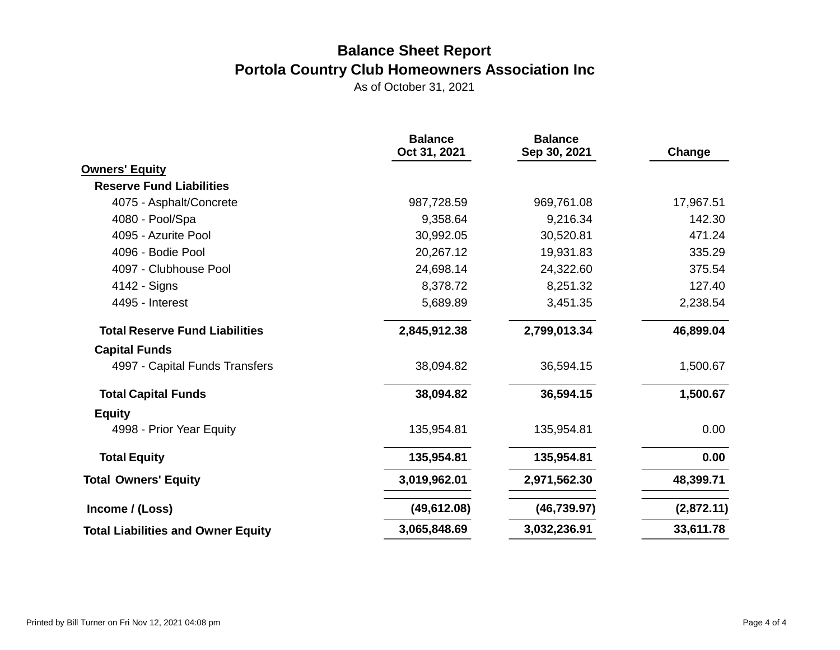|                                           | <b>Balance</b><br>Oct 31, 2021 | <b>Balance</b><br>Sep 30, 2021 | Change     |
|-------------------------------------------|--------------------------------|--------------------------------|------------|
| <b>Owners' Equity</b>                     |                                |                                |            |
| <b>Reserve Fund Liabilities</b>           |                                |                                |            |
| 4075 - Asphalt/Concrete                   | 987,728.59                     | 969,761.08                     | 17,967.51  |
| 4080 - Pool/Spa                           | 9,358.64                       | 9,216.34                       | 142.30     |
| 4095 - Azurite Pool                       | 30,992.05                      | 30,520.81                      | 471.24     |
| 4096 - Bodie Pool                         | 20,267.12                      | 19,931.83                      | 335.29     |
| 4097 - Clubhouse Pool                     | 24,698.14                      | 24,322.60                      | 375.54     |
| 4142 - Signs                              | 8,378.72                       | 8,251.32                       | 127.40     |
| 4495 - Interest                           | 5,689.89                       | 3,451.35                       | 2,238.54   |
| <b>Total Reserve Fund Liabilities</b>     | 2,845,912.38                   | 2,799,013.34                   | 46,899.04  |
| <b>Capital Funds</b>                      |                                |                                |            |
| 4997 - Capital Funds Transfers            | 38,094.82                      | 36,594.15                      | 1,500.67   |
| <b>Total Capital Funds</b>                | 38,094.82                      | 36,594.15                      | 1,500.67   |
| <b>Equity</b>                             |                                |                                |            |
| 4998 - Prior Year Equity                  | 135,954.81                     | 135,954.81                     | 0.00       |
| <b>Total Equity</b>                       | 135,954.81                     | 135,954.81                     | 0.00       |
| <b>Total Owners' Equity</b>               | 3,019,962.01                   | 2,971,562.30                   | 48,399.71  |
| Income / (Loss)                           | (49, 612.08)                   | (46, 739.97)                   | (2,872.11) |
| <b>Total Liabilities and Owner Equity</b> | 3,065,848.69                   | 3,032,236.91                   | 33,611.78  |
|                                           |                                |                                |            |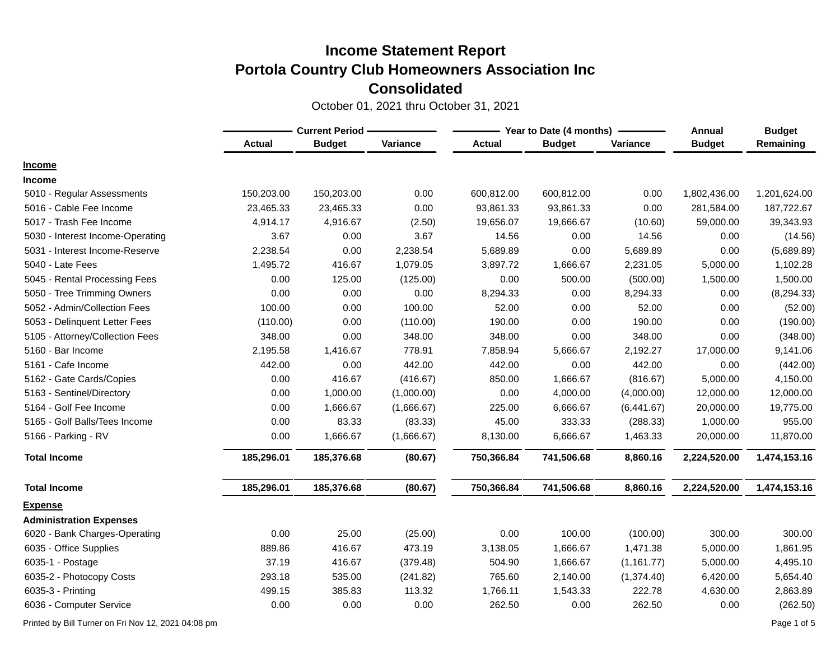October 01, 2021 thru October 31, 2021

|                                  | <b>Current Period -</b> |               |            | Year to Date (4 months) | Annual        | <b>Budget</b> |               |              |
|----------------------------------|-------------------------|---------------|------------|-------------------------|---------------|---------------|---------------|--------------|
|                                  | <b>Actual</b>           | <b>Budget</b> | Variance   | <b>Actual</b>           | <b>Budget</b> | Variance      | <b>Budget</b> | Remaining    |
| <b>Income</b>                    |                         |               |            |                         |               |               |               |              |
| <b>Income</b>                    |                         |               |            |                         |               |               |               |              |
| 5010 - Regular Assessments       | 150,203.00              | 150,203.00    | 0.00       | 600,812.00              | 600,812.00    | 0.00          | 1,802,436.00  | 1,201,624.00 |
| 5016 - Cable Fee Income          | 23,465.33               | 23,465.33     | 0.00       | 93,861.33               | 93,861.33     | 0.00          | 281,584.00    | 187,722.67   |
| 5017 - Trash Fee Income          | 4,914.17                | 4,916.67      | (2.50)     | 19,656.07               | 19,666.67     | (10.60)       | 59,000.00     | 39,343.93    |
| 5030 - Interest Income-Operating | 3.67                    | 0.00          | 3.67       | 14.56                   | 0.00          | 14.56         | 0.00          | (14.56)      |
| 5031 - Interest Income-Reserve   | 2,238.54                | 0.00          | 2,238.54   | 5,689.89                | 0.00          | 5,689.89      | 0.00          | (5,689.89)   |
| 5040 - Late Fees                 | 1,495.72                | 416.67        | 1,079.05   | 3,897.72                | 1,666.67      | 2,231.05      | 5,000.00      | 1,102.28     |
| 5045 - Rental Processing Fees    | 0.00                    | 125.00        | (125.00)   | 0.00                    | 500.00        | (500.00)      | 1,500.00      | 1,500.00     |
| 5050 - Tree Trimming Owners      | 0.00                    | 0.00          | 0.00       | 8,294.33                | 0.00          | 8,294.33      | 0.00          | (8, 294.33)  |
| 5052 - Admin/Collection Fees     | 100.00                  | 0.00          | 100.00     | 52.00                   | 0.00          | 52.00         | 0.00          | (52.00)      |
| 5053 - Delinquent Letter Fees    | (110.00)                | 0.00          | (110.00)   | 190.00                  | 0.00          | 190.00        | 0.00          | (190.00)     |
| 5105 - Attorney/Collection Fees  | 348.00                  | 0.00          | 348.00     | 348.00                  | 0.00          | 348.00        | 0.00          | (348.00)     |
| 5160 - Bar Income                | 2,195.58                | 1,416.67      | 778.91     | 7,858.94                | 5,666.67      | 2,192.27      | 17,000.00     | 9,141.06     |
| 5161 - Cafe Income               | 442.00                  | 0.00          | 442.00     | 442.00                  | 0.00          | 442.00        | 0.00          | (442.00)     |
| 5162 - Gate Cards/Copies         | 0.00                    | 416.67        | (416.67)   | 850.00                  | 1,666.67      | (816.67)      | 5,000.00      | 4,150.00     |
| 5163 - Sentinel/Directory        | 0.00                    | 1,000.00      | (1,000.00) | 0.00                    | 4,000.00      | (4,000.00)    | 12,000.00     | 12,000.00    |
| 5164 - Golf Fee Income           | 0.00                    | 1,666.67      | (1,666.67) | 225.00                  | 6,666.67      | (6,441.67)    | 20,000.00     | 19,775.00    |
| 5165 - Golf Balls/Tees Income    | 0.00                    | 83.33         | (83.33)    | 45.00                   | 333.33        | (288.33)      | 1,000.00      | 955.00       |
| 5166 - Parking - RV              | 0.00                    | 1,666.67      | (1,666.67) | 8,130.00                | 6,666.67      | 1,463.33      | 20,000.00     | 11,870.00    |
| <b>Total Income</b>              | 185,296.01              | 185,376.68    | (80.67)    | 750,366.84              | 741,506.68    | 8,860.16      | 2,224,520.00  | 1,474,153.16 |
| <b>Total Income</b>              | 185,296.01              | 185,376.68    | (80.67)    | 750,366.84              | 741,506.68    | 8,860.16      | 2,224,520.00  | 1,474,153.16 |
| <b>Expense</b>                   |                         |               |            |                         |               |               |               |              |
| <b>Administration Expenses</b>   |                         |               |            |                         |               |               |               |              |
| 6020 - Bank Charges-Operating    | 0.00                    | 25.00         | (25.00)    | 0.00                    | 100.00        | (100.00)      | 300.00        | 300.00       |
| 6035 - Office Supplies           | 889.86                  | 416.67        | 473.19     | 3,138.05                | 1,666.67      | 1,471.38      | 5,000.00      | 1,861.95     |
| 6035-1 - Postage                 | 37.19                   | 416.67        | (379.48)   | 504.90                  | 1,666.67      | (1, 161.77)   | 5,000.00      | 4,495.10     |
| 6035-2 - Photocopy Costs         | 293.18                  | 535.00        | (241.82)   | 765.60                  | 2,140.00      | (1,374.40)    | 6,420.00      | 5,654.40     |
| 6035-3 - Printing                | 499.15                  | 385.83        | 113.32     | 1,766.11                | 1,543.33      | 222.78        | 4,630.00      | 2,863.89     |
| 6036 - Computer Service          | 0.00                    | 0.00          | 0.00       | 262.50                  | 0.00          | 262.50        | 0.00          | (262.50)     |

Printed by Bill Turner on Fri Nov 12, 2021 04:08 pm Page 1 of 5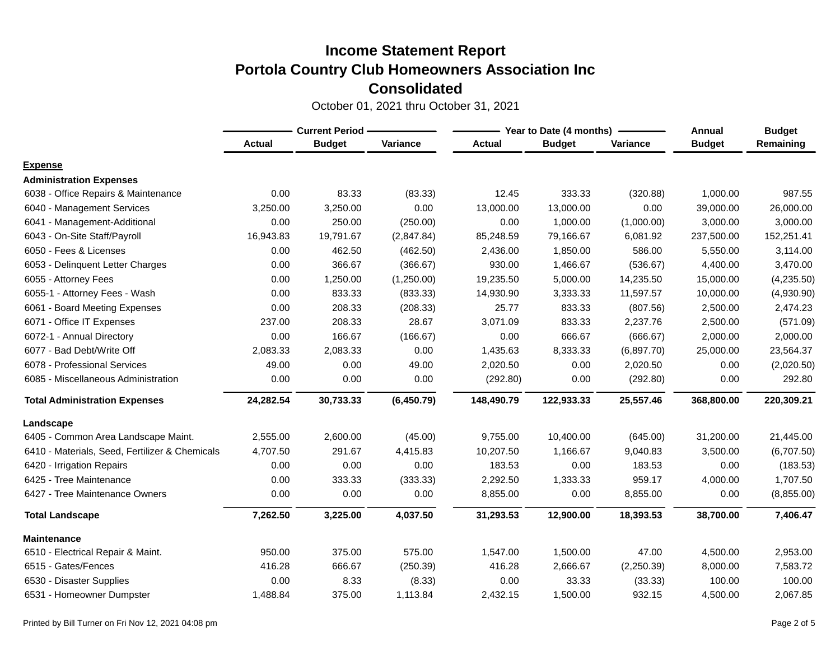|                                                | <b>Current Period -</b> |               |            |               | Year to Date (4 months) | Annual     | <b>Budget</b> |            |
|------------------------------------------------|-------------------------|---------------|------------|---------------|-------------------------|------------|---------------|------------|
|                                                | <b>Actual</b>           | <b>Budget</b> | Variance   | <b>Actual</b> | <b>Budget</b>           | Variance   | <b>Budget</b> | Remaining  |
| <b>Expense</b>                                 |                         |               |            |               |                         |            |               |            |
| <b>Administration Expenses</b>                 |                         |               |            |               |                         |            |               |            |
| 6038 - Office Repairs & Maintenance            | 0.00                    | 83.33         | (83.33)    | 12.45         | 333.33                  | (320.88)   | 1,000.00      | 987.55     |
| 6040 - Management Services                     | 3,250.00                | 3,250.00      | 0.00       | 13,000.00     | 13,000.00               | 0.00       | 39,000.00     | 26,000.00  |
| 6041 - Management-Additional                   | 0.00                    | 250.00        | (250.00)   | 0.00          | 1,000.00                | (1,000.00) | 3,000.00      | 3,000.00   |
| 6043 - On-Site Staff/Payroll                   | 16,943.83               | 19,791.67     | (2,847.84) | 85,248.59     | 79,166.67               | 6,081.92   | 237,500.00    | 152,251.41 |
| 6050 - Fees & Licenses                         | 0.00                    | 462.50        | (462.50)   | 2,436.00      | 1,850.00                | 586.00     | 5,550.00      | 3,114.00   |
| 6053 - Delinquent Letter Charges               | 0.00                    | 366.67        | (366.67)   | 930.00        | 1,466.67                | (536.67)   | 4,400.00      | 3,470.00   |
| 6055 - Attorney Fees                           | 0.00                    | 1,250.00      | (1,250.00) | 19,235.50     | 5,000.00                | 14,235.50  | 15,000.00     | (4,235.50) |
| 6055-1 - Attorney Fees - Wash                  | 0.00                    | 833.33        | (833.33)   | 14,930.90     | 3,333.33                | 11,597.57  | 10,000.00     | (4,930.90) |
| 6061 - Board Meeting Expenses                  | 0.00                    | 208.33        | (208.33)   | 25.77         | 833.33                  | (807.56)   | 2,500.00      | 2,474.23   |
| 6071 - Office IT Expenses                      | 237.00                  | 208.33        | 28.67      | 3,071.09      | 833.33                  | 2,237.76   | 2,500.00      | (571.09)   |
| 6072-1 - Annual Directory                      | 0.00                    | 166.67        | (166.67)   | 0.00          | 666.67                  | (666.67)   | 2,000.00      | 2,000.00   |
| 6077 - Bad Debt/Write Off                      | 2,083.33                | 2,083.33      | 0.00       | 1,435.63      | 8,333.33                | (6,897.70) | 25,000.00     | 23,564.37  |
| 6078 - Professional Services                   | 49.00                   | 0.00          | 49.00      | 2,020.50      | 0.00                    | 2,020.50   | 0.00          | (2,020.50) |
| 6085 - Miscellaneous Administration            | 0.00                    | 0.00          | 0.00       | (292.80)      | 0.00                    | (292.80)   | 0.00          | 292.80     |
| <b>Total Administration Expenses</b>           | 24,282.54               | 30,733.33     | (6,450.79) | 148,490.79    | 122,933.33              | 25,557.46  | 368,800.00    | 220,309.21 |
| Landscape                                      |                         |               |            |               |                         |            |               |            |
| 6405 - Common Area Landscape Maint.            | 2,555.00                | 2,600.00      | (45.00)    | 9,755.00      | 10,400.00               | (645.00)   | 31,200.00     | 21,445.00  |
| 6410 - Materials, Seed, Fertilizer & Chemicals | 4,707.50                | 291.67        | 4,415.83   | 10,207.50     | 1,166.67                | 9,040.83   | 3,500.00      | (6,707.50) |
| 6420 - Irrigation Repairs                      | 0.00                    | 0.00          | 0.00       | 183.53        | 0.00                    | 183.53     | 0.00          | (183.53)   |
| 6425 - Tree Maintenance                        | 0.00                    | 333.33        | (333.33)   | 2,292.50      | 1,333.33                | 959.17     | 4,000.00      | 1,707.50   |
| 6427 - Tree Maintenance Owners                 | 0.00                    | 0.00          | 0.00       | 8,855.00      | 0.00                    | 8,855.00   | 0.00          | (8,855.00) |
| <b>Total Landscape</b>                         | 7,262.50                | 3,225.00      | 4,037.50   | 31,293.53     | 12,900.00               | 18,393.53  | 38,700.00     | 7,406.47   |
| <b>Maintenance</b>                             |                         |               |            |               |                         |            |               |            |
| 6510 - Electrical Repair & Maint.              | 950.00                  | 375.00        | 575.00     | 1,547.00      | 1,500.00                | 47.00      | 4,500.00      | 2,953.00   |
| 6515 - Gates/Fences                            | 416.28                  | 666.67        | (250.39)   | 416.28        | 2,666.67                | (2,250.39) | 8,000.00      | 7,583.72   |
| 6530 - Disaster Supplies                       | 0.00                    | 8.33          | (8.33)     | 0.00          | 33.33                   | (33.33)    | 100.00        | 100.00     |
| 6531 - Homeowner Dumpster                      | 1,488.84                | 375.00        | 1,113.84   | 2,432.15      | 1,500.00                | 932.15     | 4,500.00      | 2,067.85   |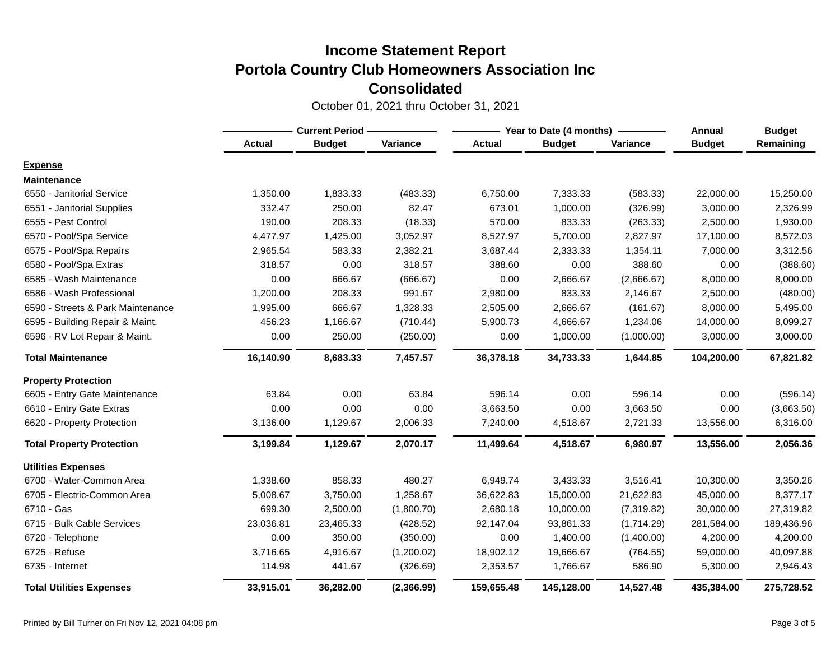|                                   | <b>Current Period -</b> |               |            | Year to Date (4 months) | <b>Annual</b> | <b>Budget</b> |               |            |
|-----------------------------------|-------------------------|---------------|------------|-------------------------|---------------|---------------|---------------|------------|
|                                   | <b>Actual</b>           | <b>Budget</b> | Variance   | <b>Actual</b>           | <b>Budget</b> | Variance      | <b>Budget</b> | Remaining  |
| <b>Expense</b>                    |                         |               |            |                         |               |               |               |            |
| <b>Maintenance</b>                |                         |               |            |                         |               |               |               |            |
| 6550 - Janitorial Service         | 1,350.00                | 1,833.33      | (483.33)   | 6,750.00                | 7,333.33      | (583.33)      | 22,000.00     | 15,250.00  |
| 6551 - Janitorial Supplies        | 332.47                  | 250.00        | 82.47      | 673.01                  | 1,000.00      | (326.99)      | 3,000.00      | 2,326.99   |
| 6555 - Pest Control               | 190.00                  | 208.33        | (18.33)    | 570.00                  | 833.33        | (263.33)      | 2,500.00      | 1,930.00   |
| 6570 - Pool/Spa Service           | 4,477.97                | 1,425.00      | 3,052.97   | 8,527.97                | 5,700.00      | 2,827.97      | 17,100.00     | 8,572.03   |
| 6575 - Pool/Spa Repairs           | 2,965.54                | 583.33        | 2,382.21   | 3,687.44                | 2,333.33      | 1,354.11      | 7,000.00      | 3,312.56   |
| 6580 - Pool/Spa Extras            | 318.57                  | 0.00          | 318.57     | 388.60                  | 0.00          | 388.60        | 0.00          | (388.60)   |
| 6585 - Wash Maintenance           | 0.00                    | 666.67        | (666.67)   | 0.00                    | 2,666.67      | (2,666.67)    | 8,000.00      | 8,000.00   |
| 6586 - Wash Professional          | 1,200.00                | 208.33        | 991.67     | 2,980.00                | 833.33        | 2,146.67      | 2,500.00      | (480.00)   |
| 6590 - Streets & Park Maintenance | 1,995.00                | 666.67        | 1,328.33   | 2,505.00                | 2,666.67      | (161.67)      | 8,000.00      | 5,495.00   |
| 6595 - Building Repair & Maint.   | 456.23                  | 1,166.67      | (710.44)   | 5,900.73                | 4,666.67      | 1,234.06      | 14,000.00     | 8,099.27   |
| 6596 - RV Lot Repair & Maint.     | 0.00                    | 250.00        | (250.00)   | 0.00                    | 1,000.00      | (1,000.00)    | 3,000.00      | 3,000.00   |
| <b>Total Maintenance</b>          | 16,140.90               | 8,683.33      | 7,457.57   | 36,378.18               | 34,733.33     | 1,644.85      | 104,200.00    | 67,821.82  |
| <b>Property Protection</b>        |                         |               |            |                         |               |               |               |            |
| 6605 - Entry Gate Maintenance     | 63.84                   | 0.00          | 63.84      | 596.14                  | 0.00          | 596.14        | 0.00          | (596.14)   |
| 6610 - Entry Gate Extras          | 0.00                    | 0.00          | 0.00       | 3,663.50                | 0.00          | 3,663.50      | 0.00          | (3,663.50) |
| 6620 - Property Protection        | 3,136.00                | 1,129.67      | 2,006.33   | 7,240.00                | 4,518.67      | 2,721.33      | 13,556.00     | 6,316.00   |
| <b>Total Property Protection</b>  | 3,199.84                | 1,129.67      | 2,070.17   | 11,499.64               | 4,518.67      | 6,980.97      | 13,556.00     | 2,056.36   |
| <b>Utilities Expenses</b>         |                         |               |            |                         |               |               |               |            |
| 6700 - Water-Common Area          | 1,338.60                | 858.33        | 480.27     | 6,949.74                | 3,433.33      | 3,516.41      | 10,300.00     | 3,350.26   |
| 6705 - Electric-Common Area       | 5,008.67                | 3,750.00      | 1,258.67   | 36,622.83               | 15,000.00     | 21,622.83     | 45,000.00     | 8,377.17   |
| 6710 - Gas                        | 699.30                  | 2,500.00      | (1,800.70) | 2,680.18                | 10,000.00     | (7,319.82)    | 30,000.00     | 27,319.82  |
| 6715 - Bulk Cable Services        | 23,036.81               | 23,465.33     | (428.52)   | 92,147.04               | 93,861.33     | (1,714.29)    | 281,584.00    | 189,436.96 |
| 6720 - Telephone                  | 0.00                    | 350.00        | (350.00)   | 0.00                    | 1,400.00      | (1,400.00)    | 4,200.00      | 4,200.00   |
| 6725 - Refuse                     | 3,716.65                | 4,916.67      | (1,200.02) | 18,902.12               | 19,666.67     | (764.55)      | 59,000.00     | 40,097.88  |
| 6735 - Internet                   | 114.98                  | 441.67        | (326.69)   | 2,353.57                | 1,766.67      | 586.90        | 5,300.00      | 2,946.43   |
| <b>Total Utilities Expenses</b>   | 33,915.01               | 36,282.00     | (2,366.99) | 159,655.48              | 145,128.00    | 14,527.48     | 435,384.00    | 275,728.52 |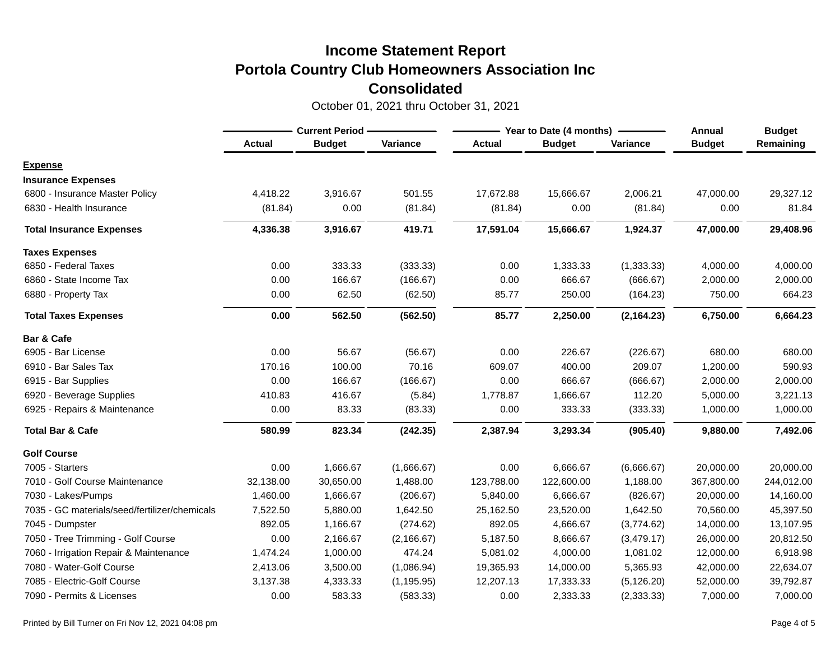|                                               | <b>Current Period</b> |               |             | Year to Date (4 months) | <b>Annual</b> | <b>Budget</b> |               |            |
|-----------------------------------------------|-----------------------|---------------|-------------|-------------------------|---------------|---------------|---------------|------------|
|                                               | <b>Actual</b>         | <b>Budget</b> | Variance    | <b>Actual</b>           | <b>Budget</b> | Variance      | <b>Budget</b> | Remaining  |
| <b>Expense</b>                                |                       |               |             |                         |               |               |               |            |
| <b>Insurance Expenses</b>                     |                       |               |             |                         |               |               |               |            |
| 6800 - Insurance Master Policy                | 4,418.22              | 3,916.67      | 501.55      | 17,672.88               | 15,666.67     | 2,006.21      | 47,000.00     | 29,327.12  |
| 6830 - Health Insurance                       | (81.84)               | 0.00          | (81.84)     | (81.84)                 | 0.00          | (81.84)       | 0.00          | 81.84      |
| <b>Total Insurance Expenses</b>               | 4,336.38              | 3,916.67      | 419.71      | 17,591.04               | 15,666.67     | 1,924.37      | 47,000.00     | 29,408.96  |
| <b>Taxes Expenses</b>                         |                       |               |             |                         |               |               |               |            |
| 6850 - Federal Taxes                          | 0.00                  | 333.33        | (333.33)    | 0.00                    | 1,333.33      | (1, 333.33)   | 4,000.00      | 4,000.00   |
| 6860 - State Income Tax                       | 0.00                  | 166.67        | (166.67)    | 0.00                    | 666.67        | (666.67)      | 2,000.00      | 2,000.00   |
| 6880 - Property Tax                           | 0.00                  | 62.50         | (62.50)     | 85.77                   | 250.00        | (164.23)      | 750.00        | 664.23     |
| <b>Total Taxes Expenses</b>                   | 0.00                  | 562.50        | (562.50)    | 85.77                   | 2,250.00      | (2, 164.23)   | 6,750.00      | 6,664.23   |
| Bar & Cafe                                    |                       |               |             |                         |               |               |               |            |
| 6905 - Bar License                            | 0.00                  | 56.67         | (56.67)     | 0.00                    | 226.67        | (226.67)      | 680.00        | 680.00     |
| 6910 - Bar Sales Tax                          | 170.16                | 100.00        | 70.16       | 609.07                  | 400.00        | 209.07        | 1,200.00      | 590.93     |
| 6915 - Bar Supplies                           | 0.00                  | 166.67        | (166.67)    | 0.00                    | 666.67        | (666.67)      | 2,000.00      | 2,000.00   |
| 6920 - Beverage Supplies                      | 410.83                | 416.67        | (5.84)      | 1,778.87                | 1,666.67      | 112.20        | 5,000.00      | 3,221.13   |
| 6925 - Repairs & Maintenance                  | 0.00                  | 83.33         | (83.33)     | 0.00                    | 333.33        | (333.33)      | 1,000.00      | 1,000.00   |
| <b>Total Bar &amp; Cafe</b>                   | 580.99                | 823.34        | (242.35)    | 2,387.94                | 3,293.34      | (905.40)      | 9,880.00      | 7,492.06   |
| <b>Golf Course</b>                            |                       |               |             |                         |               |               |               |            |
| 7005 - Starters                               | 0.00                  | 1,666.67      | (1,666.67)  | 0.00                    | 6,666.67      | (6,666.67)    | 20,000.00     | 20,000.00  |
| 7010 - Golf Course Maintenance                | 32,138.00             | 30,650.00     | 1,488.00    | 123,788.00              | 122,600.00    | 1,188.00      | 367,800.00    | 244,012.00 |
| 7030 - Lakes/Pumps                            | 1,460.00              | 1,666.67      | (206.67)    | 5,840.00                | 6,666.67      | (826.67)      | 20,000.00     | 14,160.00  |
| 7035 - GC materials/seed/fertilizer/chemicals | 7,522.50              | 5,880.00      | 1,642.50    | 25,162.50               | 23,520.00     | 1,642.50      | 70,560.00     | 45,397.50  |
| 7045 - Dumpster                               | 892.05                | 1,166.67      | (274.62)    | 892.05                  | 4,666.67      | (3,774.62)    | 14,000.00     | 13,107.95  |
| 7050 - Tree Trimming - Golf Course            | 0.00                  | 2,166.67      | (2, 166.67) | 5,187.50                | 8,666.67      | (3,479.17)    | 26,000.00     | 20,812.50  |
| 7060 - Irrigation Repair & Maintenance        | 1,474.24              | 1,000.00      | 474.24      | 5,081.02                | 4,000.00      | 1,081.02      | 12,000.00     | 6,918.98   |
| 7080 - Water-Golf Course                      | 2,413.06              | 3,500.00      | (1,086.94)  | 19,365.93               | 14,000.00     | 5,365.93      | 42,000.00     | 22,634.07  |
| 7085 - Electric-Golf Course                   | 3,137.38              | 4,333.33      | (1, 195.95) | 12,207.13               | 17,333.33     | (5, 126.20)   | 52,000.00     | 39,792.87  |
| 7090 - Permits & Licenses                     | 0.00                  | 583.33        | (583.33)    | 0.00                    | 2,333.33      | (2, 333.33)   | 7,000.00      | 7,000.00   |